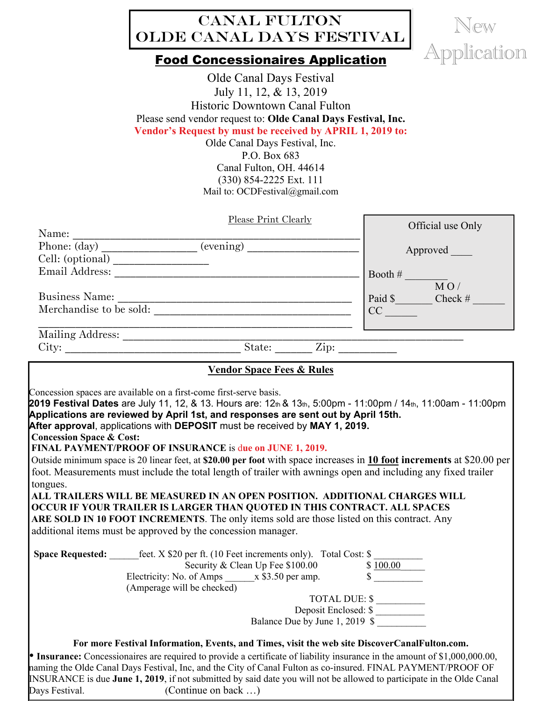## Canal Fulton OLDE CANAL DAYS Festival

New

Application

## **Food Concessionaires Application**

Olde Canal Days Festival July 11, 12, & 13, 2019 Historic Downtown Canal Fulton Please send vendor request to: **Olde Canal Days Festival, Inc. Vendor's Request by must be received by APRIL 1, 2019 to:** Olde Canal Days Festival, Inc.

P.O. Box 683 Canal Fulton, OH. 44614 (330) 854-2225 Ext. 111 Mail to: OCDFestival@gmail.com

| Please Print Clearly                            |                                                                                                                                                                                                                                                                                                                                                                                                                                                                                                                    |                                                                                                                                                                                |  |                                | Official use Only                                                                                                      |  |
|-------------------------------------------------|--------------------------------------------------------------------------------------------------------------------------------------------------------------------------------------------------------------------------------------------------------------------------------------------------------------------------------------------------------------------------------------------------------------------------------------------------------------------------------------------------------------------|--------------------------------------------------------------------------------------------------------------------------------------------------------------------------------|--|--------------------------------|------------------------------------------------------------------------------------------------------------------------|--|
|                                                 |                                                                                                                                                                                                                                                                                                                                                                                                                                                                                                                    |                                                                                                                                                                                |  |                                |                                                                                                                        |  |
|                                                 |                                                                                                                                                                                                                                                                                                                                                                                                                                                                                                                    |                                                                                                                                                                                |  |                                | Approved                                                                                                               |  |
|                                                 |                                                                                                                                                                                                                                                                                                                                                                                                                                                                                                                    |                                                                                                                                                                                |  |                                |                                                                                                                        |  |
|                                                 |                                                                                                                                                                                                                                                                                                                                                                                                                                                                                                                    |                                                                                                                                                                                |  |                                |                                                                                                                        |  |
|                                                 | Email Address: $\frac{1}{\sqrt{1-\frac{1}{2}}}\sqrt{\frac{1}{2}}$ Booth # $\frac{1}{\sqrt{1-\frac{1}{2}}}\sqrt{\frac{1}{2}}$                                                                                                                                                                                                                                                                                                                                                                                       |                                                                                                                                                                                |  |                                |                                                                                                                        |  |
|                                                 |                                                                                                                                                                                                                                                                                                                                                                                                                                                                                                                    |                                                                                                                                                                                |  |                                | Paid $\frac{1}{2}$ Check #                                                                                             |  |
|                                                 |                                                                                                                                                                                                                                                                                                                                                                                                                                                                                                                    |                                                                                                                                                                                |  | CC                             |                                                                                                                        |  |
|                                                 |                                                                                                                                                                                                                                                                                                                                                                                                                                                                                                                    |                                                                                                                                                                                |  |                                |                                                                                                                        |  |
|                                                 |                                                                                                                                                                                                                                                                                                                                                                                                                                                                                                                    |                                                                                                                                                                                |  |                                |                                                                                                                        |  |
|                                                 |                                                                                                                                                                                                                                                                                                                                                                                                                                                                                                                    |                                                                                                                                                                                |  |                                |                                                                                                                        |  |
|                                                 |                                                                                                                                                                                                                                                                                                                                                                                                                                                                                                                    |                                                                                                                                                                                |  |                                |                                                                                                                        |  |
|                                                 |                                                                                                                                                                                                                                                                                                                                                                                                                                                                                                                    | <b>Vendor Space Fees &amp; Rules</b>                                                                                                                                           |  |                                |                                                                                                                        |  |
| <b>Concession Space &amp; Cost:</b><br>tongues. | <b>FINAL PAYMENT/PROOF OF INSURANCE is due on JUNE 1, 2019.</b><br>foot. Measurements must include the total length of trailer with awnings open and including any fixed trailer<br>ALL TRAILERS WILL BE MEASURED IN AN OPEN POSITION. ADDITIONAL CHARGES WILL<br>  OCCUR IF YOUR TRAILER IS LARGER THAN QUOTED IN THIS CONTRACT. ALL SPACES<br><b>ARE SOLD IN 10 FOOT INCREMENTS</b> . The only items sold are those listed on this contract. Any<br>additional items must be approved by the concession manager. |                                                                                                                                                                                |  |                                | Outside minimum space is 20 linear feet, at \$20.00 per foot with space increases in 10 foot increments at \$20.00 per |  |
|                                                 |                                                                                                                                                                                                                                                                                                                                                                                                                                                                                                                    |                                                                                                                                                                                |  |                                |                                                                                                                        |  |
|                                                 |                                                                                                                                                                                                                                                                                                                                                                                                                                                                                                                    | Security & Clean Up Fee \$100.00 $\overline{\$}$ $\frac{100.00}{\text{S}}$<br>Electricity: No. of Amps $\frac{x \times 3.50 \text{ per amp.}}{x \times 3.50 \text{ per amp.}}$ |  |                                |                                                                                                                        |  |
|                                                 |                                                                                                                                                                                                                                                                                                                                                                                                                                                                                                                    |                                                                                                                                                                                |  |                                |                                                                                                                        |  |
|                                                 | (Amperage will be checked)                                                                                                                                                                                                                                                                                                                                                                                                                                                                                         |                                                                                                                                                                                |  |                                |                                                                                                                        |  |
|                                                 | <b>TOTAL DUE: \$</b>                                                                                                                                                                                                                                                                                                                                                                                                                                                                                               |                                                                                                                                                                                |  | Deposit Enclosed: \$           |                                                                                                                        |  |
|                                                 |                                                                                                                                                                                                                                                                                                                                                                                                                                                                                                                    |                                                                                                                                                                                |  | Balance Due by June 1, 2019 \$ |                                                                                                                        |  |
|                                                 |                                                                                                                                                                                                                                                                                                                                                                                                                                                                                                                    |                                                                                                                                                                                |  |                                |                                                                                                                        |  |
|                                                 | For more Festival Information, Events, and Times, visit the web site DiscoverCanalFulton.com.                                                                                                                                                                                                                                                                                                                                                                                                                      |                                                                                                                                                                                |  |                                |                                                                                                                        |  |
|                                                 | • Insurance: Concessionaires are required to provide a certificate of liability insurance in the amount of $$1,000,000.00$ ,                                                                                                                                                                                                                                                                                                                                                                                       |                                                                                                                                                                                |  |                                |                                                                                                                        |  |
|                                                 | naming the Olde Canal Days Festival, Inc, and the City of Canal Fulton as co-insured. FINAL PAYMENT/PROOF OF                                                                                                                                                                                                                                                                                                                                                                                                       |                                                                                                                                                                                |  |                                |                                                                                                                        |  |
|                                                 |                                                                                                                                                                                                                                                                                                                                                                                                                                                                                                                    |                                                                                                                                                                                |  |                                | INSURANCE is due June 1, 2019, if not submitted by said date you will not be allowed to participate in the Olde Canal  |  |
| Days Festival.                                  |                                                                                                                                                                                                                                                                                                                                                                                                                                                                                                                    | (Continue on back $\dots$ )                                                                                                                                                    |  |                                |                                                                                                                        |  |